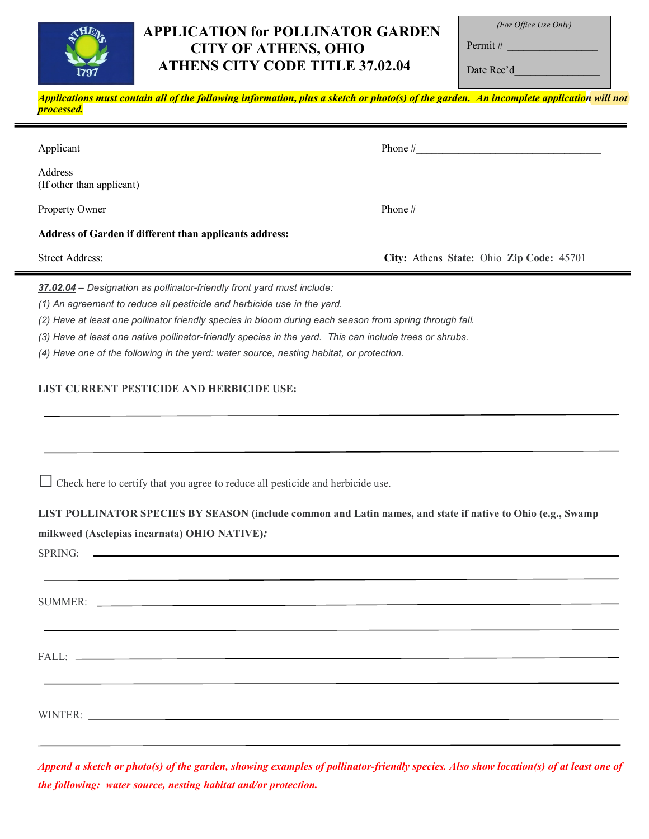

## **APPLICATION for POLLINATOR GARDEN CITY OF ATHENS, OHIO ATHENS CITY CODE TITLE 37.02.04**

*(For Office Use Only)*

Permit #  $\_\_$ Date  $Re^d$ 

| 1191                                                                                                                                                                                                                                                                                                                                                                                                                                                                | Daw Ree u                                |
|---------------------------------------------------------------------------------------------------------------------------------------------------------------------------------------------------------------------------------------------------------------------------------------------------------------------------------------------------------------------------------------------------------------------------------------------------------------------|------------------------------------------|
| Applications must contain all of the following information, plus a sketch or photo(s) of the garden. An incomplete application will not<br>processed.                                                                                                                                                                                                                                                                                                               |                                          |
| Applicant                                                                                                                                                                                                                                                                                                                                                                                                                                                           |                                          |
| (If other than applicant)                                                                                                                                                                                                                                                                                                                                                                                                                                           |                                          |
| Property Owner                                                                                                                                                                                                                                                                                                                                                                                                                                                      | Phone $#$                                |
| Address of Garden if different than applicants address:                                                                                                                                                                                                                                                                                                                                                                                                             |                                          |
| <b>Street Address:</b>                                                                                                                                                                                                                                                                                                                                                                                                                                              | City: Athens State: Ohio Zip Code: 45701 |
| 37.02.04 - Designation as pollinator-friendly front yard must include:<br>(1) An agreement to reduce all pesticide and herbicide use in the yard.<br>(2) Have at least one pollinator friendly species in bloom during each season from spring through fall.<br>(3) Have at least one native pollinator-friendly species in the yard. This can include trees or shrubs.<br>(4) Have one of the following in the yard: water source, nesting habitat, or protection. |                                          |
| LIST CURRENT PESTICIDE AND HERBICIDE USE:                                                                                                                                                                                                                                                                                                                                                                                                                           |                                          |
| Check here to certify that you agree to reduce all pesticide and herbicide use.                                                                                                                                                                                                                                                                                                                                                                                     |                                          |
| LIST POLLINATOR SPECIES BY SEASON (include common and Latin names, and state if native to Ohio (e.g., Swamp<br>milkweed (Asclepias incarnata) OHIO NATIVE):<br>SPRING:<br><u> 1980 - Andrea Stadt Britain, amerikansk politiker (</u>                                                                                                                                                                                                                               |                                          |
|                                                                                                                                                                                                                                                                                                                                                                                                                                                                     |                                          |
|                                                                                                                                                                                                                                                                                                                                                                                                                                                                     |                                          |

WINTER:

*Append a sketch or photo(s) of the garden, showing examples of pollinator-friendly species. Also show location(s) of at least one of the following: water source, nesting habitat and/or protection.*